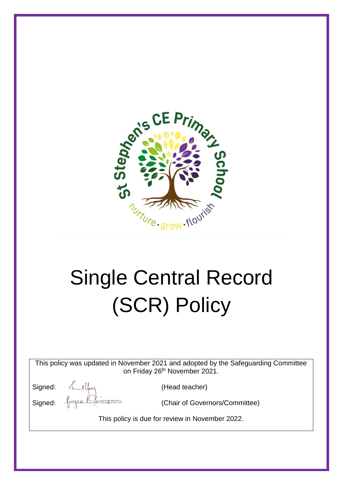

# Single Central Record (SCR) Policy

This policy was updated in November 2021 and adopted by the Safeguarding Committee on Friday 26<sup>th</sup> November 2021.

Signed:  $\leftarrow$  (Head teacher)<br>Signed:  $\leftarrow$  (Chair of Gover

(Chair of Governors/Committee)

This policy is due for review in November 2022.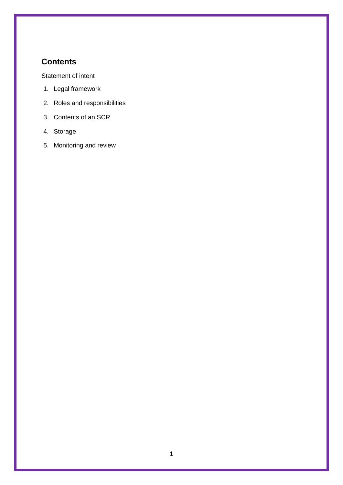# <span id="page-1-0"></span>**Contents**

[Statement of intent](#page-1-0)

- 1. [Legal framework](#page-3-0)
- 2. [Roles and responsibilities](#page-3-1)
- 3. [Contents of an SCR](#page-4-0)
- 4. [Storage](#page-5-0)
- 5. [Monitoring and review](#page-5-1)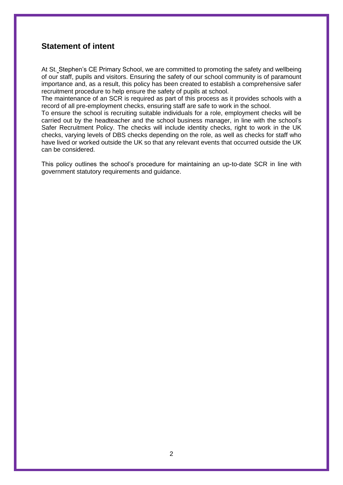#### **Statement of intent**

At St. Stephen's CE Primary School, we are committed to promoting the safety and wellbeing of our staff, pupils and visitors. Ensuring the safety of our school community is of paramount importance and, as a result, this policy has been created to establish a comprehensive safer recruitment procedure to help ensure the safety of pupils at school.

The maintenance of an SCR is required as part of this process as it provides schools with a record of all pre-employment checks, ensuring staff are safe to work in the school.

To ensure the school is recruiting suitable individuals for a role, employment checks will be carried out by the headteacher and the school business manager, in line with the school's Safer Recruitment Policy. The checks will include identity checks, right to work in the UK checks, varying levels of DBS checks depending on the role, as well as checks for staff who have lived or worked outside the UK so that any relevant events that occurred outside the UK can be considered.

This policy outlines the school's procedure for maintaining an up-to-date SCR in line with government statutory requirements and guidance.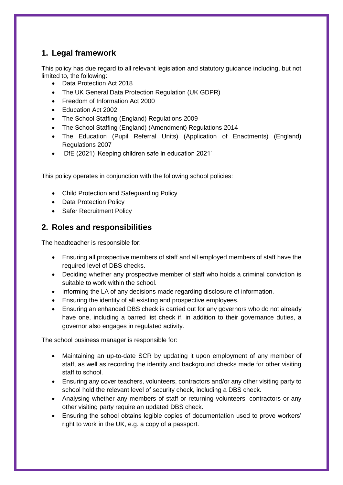## <span id="page-3-0"></span>**1. Legal framework**

This policy has due regard to all relevant legislation and statutory guidance including, but not limited to, the following:

- Data Protection Act 2018
- The UK General Data Protection Regulation (UK GDPR)
- Freedom of Information Act 2000
- Education Act 2002
- The School Staffing (England) Regulations 2009
- The School Staffing (England) (Amendment) Regulations 2014
- The Education (Pupil Referral Units) (Application of Enactments) (England) Regulations 2007
- DfE (2021) 'Keeping children safe in education 2021'

This policy operates in conjunction with the following school policies:

- Child Protection and Safeguarding Policy
- Data Protection Policy
- Safer Recruitment Policy

## <span id="page-3-1"></span>**2. Roles and responsibilities**

The headteacher is responsible for:

- Ensuring all prospective members of staff and all employed members of staff have the required level of DBS checks.
- Deciding whether any prospective member of staff who holds a criminal conviction is suitable to work within the school.
- Informing the LA of any decisions made regarding disclosure of information.
- Ensuring the identity of all existing and prospective employees.
- Ensuring an enhanced DBS check is carried out for any governors who do not already have one, including a barred list check if, in addition to their governance duties, a governor also engages in regulated activity.

The school business manager is responsible for:

- Maintaining an up-to-date SCR by updating it upon employment of any member of staff, as well as recording the identity and background checks made for other visiting staff to school.
- Ensuring any cover teachers, volunteers, contractors and/or any other visiting party to school hold the relevant level of security check, including a DBS check.
- Analysing whether any members of staff or returning volunteers, contractors or any other visiting party require an updated DBS check.
- Ensuring the school obtains legible copies of documentation used to prove workers' right to work in the UK, e.g. a copy of a passport.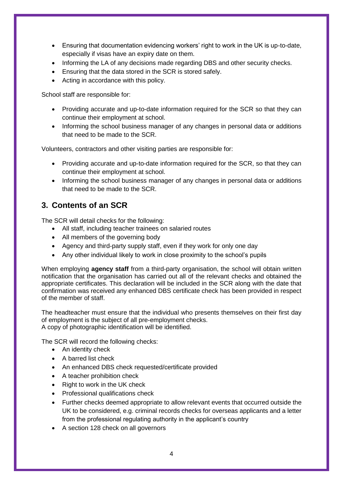- Ensuring that documentation evidencing workers' right to work in the UK is up-to-date, especially if visas have an expiry date on them.
- Informing the LA of any decisions made regarding DBS and other security checks.
- Ensuring that the data stored in the SCR is stored safely.
- Acting in accordance with this policy.

School staff are responsible for:

- Providing accurate and up-to-date information required for the SCR so that they can continue their employment at school.
- Informing the school business manager of any changes in personal data or additions that need to be made to the SCR.

Volunteers, contractors and other visiting parties are responsible for:

- Providing accurate and up-to-date information required for the SCR, so that they can continue their employment at school.
- Informing the school business manager of any changes in personal data or additions that need to be made to the SCR.

### <span id="page-4-0"></span>**3. Contents of an SCR**

The SCR will detail checks for the following:

- All staff, including teacher trainees on salaried routes
- All members of the governing body
- Agency and third-party supply staff, even if they work for only one day
- Any other individual likely to work in close proximity to the school's pupils

When employing **agency staff** from a third-party organisation, the school will obtain written notification that the organisation has carried out all of the relevant checks and obtained the appropriate certificates. This declaration will be included in the SCR along with the date that confirmation was received any enhanced DBS certificate check has been provided in respect of the member of staff.

The headteacher must ensure that the individual who presents themselves on their first day of employment is the subject of all pre-employment checks. A copy of photographic identification will be identified.

The SCR will record the following checks:

- An identity check
- A barred list check
- An enhanced DBS check requested/certificate provided
- A teacher prohibition check
- Right to work in the UK check
- Professional qualifications check
- Further checks deemed appropriate to allow relevant events that occurred outside the UK to be considered, e.g. criminal records checks for overseas applicants and a letter from the professional regulating authority in the applicant's country
- A section 128 check on all governors